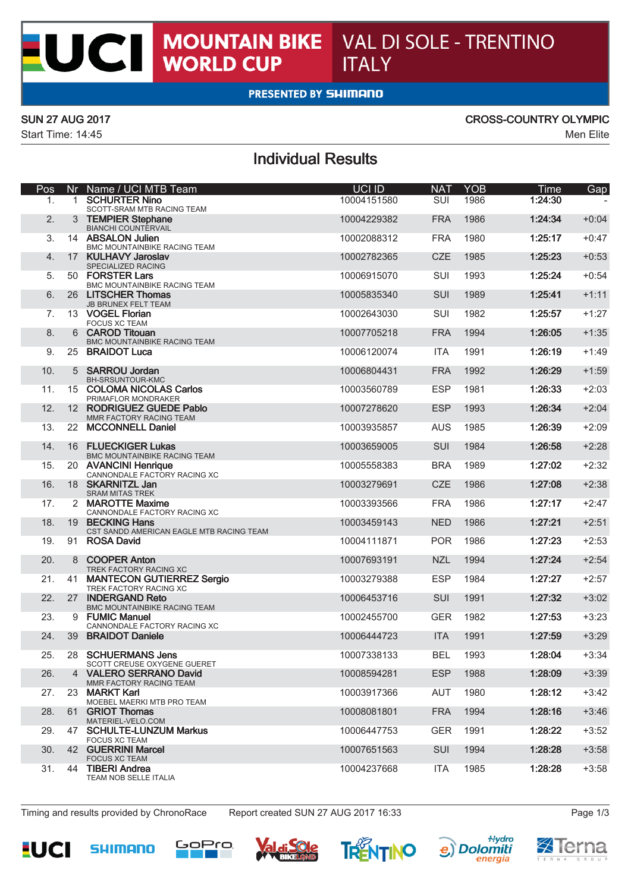## **PRESENTED BY SHIMANO**

 $\overline{\phantom{a}}$ 

CI

Start Time: 14:45 Men Elite

### SUN 27 AUG 2017 CROSS-COUNTRY OLYMPIC

# Individual Results

| Pos |                 | Nr Name / UCI MTB Team                                      | <b>UCI ID</b> | <b>NAT</b> | <b>YOB</b> | Time    | Gap     |
|-----|-----------------|-------------------------------------------------------------|---------------|------------|------------|---------|---------|
| 1.  | $1 \quad$       | <b>SCHURTER Nino</b><br>SCOTT-SRAM MTB RACING TEAM          | 10004151580   | SUI        | 1986       | 1:24:30 |         |
| 2.  |                 | 3 TEMPIER Stephane<br><b>BIANCHI COUNTERVAIL</b>            | 10004229382   | <b>FRA</b> | 1986       | 1:24:34 | $+0:04$ |
| 3.  |                 | 14 ABSALON Julien<br>BMC MOUNTAINBIKE RACING TEAM           | 10002088312   | <b>FRA</b> | 1980       | 1:25:17 | $+0:47$ |
| 4.  | 17 <sup>2</sup> | <b>KULHAVY Jaroslav</b><br>SPECIALIZED RACING               | 10002782365   | <b>CZE</b> | 1985       | 1:25:23 | $+0:53$ |
| 5.  |                 | 50 FORSTER Lars<br>BMC MOUNTAINBIKE RACING TEAM             | 10006915070   | <b>SUI</b> | 1993       | 1:25:24 | $+0:54$ |
| 6.  |                 | 26 LITSCHER Thomas<br><b>JB BRUNEX FELT TEAM</b>            | 10005835340   | <b>SUI</b> | 1989       | 1:25:41 | $+1:11$ |
| 7.  |                 | 13 VOGEL Florian<br><b>FOCUS XC TEAM</b>                    | 10002643030   | <b>SUI</b> | 1982       | 1:25:57 | $+1:27$ |
| 8.  |                 | 6 CAROD Titouan<br><b>BMC MOUNTAINBIKE RACING TEAM</b>      | 10007705218   | <b>FRA</b> | 1994       | 1:26:05 | $+1:35$ |
| 9.  |                 | 25 BRAIDOT Luca                                             | 10006120074   | <b>ITA</b> | 1991       | 1:26:19 | $+1:49$ |
| 10. |                 | 5 SARROU Jordan<br>BH-SRSUNTOUR-KMC                         | 10006804431   | <b>FRA</b> | 1992       | 1:26:29 | $+1:59$ |
| 11. |                 | 15 COLOMA NICOLAS Carlos<br>PRIMAFLOR MONDRAKER             | 10003560789   | <b>ESP</b> | 1981       | 1:26:33 | $+2:03$ |
| 12. |                 | 12 RODRIGUEZ GUEDE Pablo<br>MMR FACTORY RACING TEAM         | 10007278620   | <b>ESP</b> | 1993       | 1:26:34 | $+2:04$ |
| 13. |                 | 22 MCCONNELL Daniel                                         | 10003935857   | <b>AUS</b> | 1985       | 1:26:39 | $+2:09$ |
| 14. |                 | 16 FLUECKIGER Lukas<br><b>BMC MOUNTAINBIKE RACING TEAM</b>  | 10003659005   | <b>SUI</b> | 1984       | 1:26:58 | $+2:28$ |
| 15. |                 | 20 AVANCINI Henrique<br>CANNONDALE FACTORY RACING XC        | 10005558383   | <b>BRA</b> | 1989       | 1:27:02 | $+2:32$ |
| 16. |                 | 18 SKARNITZL Jan<br><b>SRAM MITAS TREK</b>                  | 10003279691   | <b>CZE</b> | 1986       | 1:27:08 | $+2:38$ |
| 17. |                 | 2 MAROTTE Maxime<br>CANNONDALE FACTORY RACING XC            | 10003393566   | <b>FRA</b> | 1986       | 1:27:17 | $+2:47$ |
| 18. |                 | 19 BECKING Hans<br>CST SANDD AMERICAN EAGLE MTB RACING TEAM | 10003459143   | <b>NED</b> | 1986       | 1:27:21 | $+2:51$ |
| 19. |                 | 91 ROSA David                                               | 10004111871   | <b>POR</b> | 1986       | 1:27:23 | $+2:53$ |
| 20. |                 | 8 COOPER Anton<br>TREK FACTORY RACING XC                    | 10007693191   | <b>NZL</b> | 1994       | 1:27:24 | $+2:54$ |
| 21. |                 | 41 MANTECON GUTIERREZ Sergio<br>TREK FACTORY RACING XC      | 10003279388   | <b>ESP</b> | 1984       | 1:27:27 | $+2:57$ |
| 22. |                 | 27 INDERGAND Reto<br>BMC MOUNTAINBIKE RACING TEAM           | 10006453716   | SUI        | 1991       | 1:27:32 | $+3:02$ |
| 23. |                 | 9 FUMIC Manuel<br>CANNONDALE FACTORY RACING XC              | 10002455700   | <b>GER</b> | 1982       | 1:27:53 | $+3:23$ |
| 24. |                 | 39 BRAIDOT Daniele                                          | 10006444723   | <b>ITA</b> | 1991       | 1:27:59 | $+3:29$ |
| 25. | 28              | <b>SCHUERMANS Jens</b><br>SCOTT CREUSE OXYGENE GUERET       | 10007338133   | <b>BEL</b> | 1993       | 1:28:04 | $+3:34$ |
| 26. |                 | 4 VALERO SERRANO David<br>MMR FACTORY RACING TEAM           | 10008594281   | <b>ESP</b> | 1988       | 1:28:09 | $+3:39$ |
| 27. |                 | 23 MARKT Karl<br>MOEBEL MAERKI MTB PRO TEAM                 | 10003917366   | AUT        | 1980       | 1:28:12 | $+3:42$ |
| 28. |                 | 61 GRIOT Thomas<br>MATERIEL-VELO.COM                        | 10008081801   | <b>FRA</b> | 1994       | 1:28:16 | $+3:46$ |
| 29. |                 | 47 SCHULTE-LUNZUM Markus<br><b>FOCUS XC TEAM</b>            | 10006447753   | <b>GER</b> | 1991       | 1:28:22 | $+3:52$ |
| 30. |                 | 42 GUERRINI Marcel<br><b>FOCUS XC TEAM</b>                  | 10007651563   | <b>SUI</b> | 1994       | 1:28:28 | $+3:58$ |
| 31. |                 | 44 TIBERI Andrea<br>TEAM NOB SELLE ITALIA                   | 10004237668   | ITA        | 1985       | 1:28:28 | $+3:58$ |

Timing and results provided by ChronoRace Report created SUN 27 AUG 2017 16:33 Page 1/3











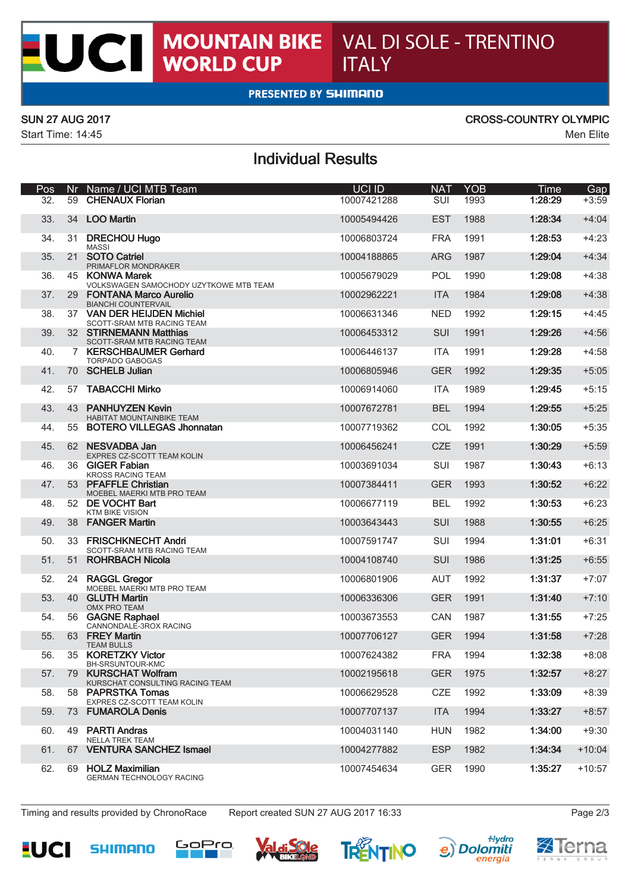## **PRESENTED BY SHIMANO**

K

CI

Start Time: 14:45 Men Elite

### SUN 27 AUG 2017 CROSS-COUNTRY OLYMPIC

# Individual Results

| Pos |    | Nr Name / UCI MTB Team                                     | <b>UCI ID</b> | <b>NAT</b> | <b>YOB</b> | Time    | Gap      |
|-----|----|------------------------------------------------------------|---------------|------------|------------|---------|----------|
| 32. | 59 | <b>CHENAUX Florian</b>                                     | 10007421288   | SUI        | 1993       | 1:28:29 | $+3:59$  |
| 33. | 34 | <b>LOO Martin</b>                                          | 10005494426   | <b>EST</b> | 1988       | 1:28:34 | $+4:04$  |
| 34. |    | 31 DRECHOU Hugo<br><b>MASSI</b>                            | 10006803724   | <b>FRA</b> | 1991       | 1:28:53 | $+4:23$  |
| 35. | 21 | <b>SOTO Catriel</b><br>PRIMAFLOR MONDRAKER                 | 10004188865   | <b>ARG</b> | 1987       | 1:29:04 | $+4:34$  |
| 36. |    | 45 KONWA Marek<br>VOLKSWAGEN SAMOCHODY UZYTKOWE MTB TEAM   | 10005679029   | <b>POL</b> | 1990       | 1:29:08 | $+4:38$  |
| 37. | 29 | <b>FONTANA Marco Aurelio</b><br><b>BIANCHI COUNTERVAIL</b> | 10002962221   | <b>ITA</b> | 1984       | 1:29:08 | $+4:38$  |
| 38. |    | 37 VAN DER HEIJDEN Michiel<br>SCOTT-SRAM MTB RACING TEAM   | 10006631346   | <b>NED</b> | 1992       | 1:29:15 | $+4:45$  |
| 39. |    | 32 STIRNEMANN Matthias<br>SCOTT-SRAM MTB RACING TEAM       | 10006453312   | SUI        | 1991       | 1:29:26 | $+4:56$  |
| 40. |    | 7 KERSCHBAUMER Gerhard<br><b>TORPADO GABOGAS</b>           | 10006446137   | <b>ITA</b> | 1991       | 1:29:28 | $+4:58$  |
| 41. |    | 70 SCHELB Julian                                           | 10006805946   | <b>GER</b> | 1992       | 1:29:35 | $+5:05$  |
| 42. | 57 | <b>TABACCHI Mirko</b>                                      | 10006914060   | <b>ITA</b> | 1989       | 1:29:45 | $+5:15$  |
| 43. | 43 | <b>PANHUYZEN Kevin</b><br><b>HABITAT MOUNTAINBIKE TEAM</b> | 10007672781   | <b>BEL</b> | 1994       | 1:29:55 | $+5:25$  |
| 44. | 55 | <b>BOTERO VILLEGAS Jhonnatan</b>                           | 10007719362   | COL        | 1992       | 1:30:05 | $+5:35$  |
| 45. | 62 | <b>NESVADBA Jan</b><br>EXPRES CZ-SCOTT TEAM KOLIN          | 10006456241   | <b>CZE</b> | 1991       | 1:30:29 | $+5:59$  |
| 46. |    | 36 GIGER Fabian<br><b>KROSS RACING TEAM</b>                | 10003691034   | SUI        | 1987       | 1:30:43 | $+6:13$  |
| 47. | 53 | <b>PFAFFLE Christian</b><br>MOEBEL MAERKI MTB PRO TEAM     | 10007384411   | <b>GER</b> | 1993       | 1:30:52 | $+6:22$  |
| 48. | 52 | <b>DE VOCHT Bart</b><br><b>KTM BIKE VISION</b>             | 10006677119   | <b>BEL</b> | 1992       | 1:30:53 | $+6:23$  |
| 49. |    | 38 FANGER Martin                                           | 10003643443   | SUI        | 1988       | 1:30:55 | $+6:25$  |
| 50. | 33 | <b>FRISCHKNECHT Andri</b><br>SCOTT-SRAM MTB RACING TEAM    | 10007591747   | SUI        | 1994       | 1:31:01 | $+6:31$  |
| 51. | 51 | <b>ROHRBACH Nicola</b>                                     | 10004108740   | SUI        | 1986       | 1:31:25 | $+6:55$  |
| 52. | 24 | <b>RAGGL Gregor</b><br>MOEBEL MAERKI MTB PRO TEAM          | 10006801906   | <b>AUT</b> | 1992       | 1:31:37 | $+7:07$  |
| 53. | 40 | <b>GLUTH Martin</b><br><b>OMX PRO TEAM</b>                 | 10006336306   | <b>GER</b> | 1991       | 1:31:40 | $+7:10$  |
| 54. |    | 56 GAGNE Raphael<br>CANNONDALE-3ROX RACING                 | 10003673553   | CAN        | 1987       | 1:31:55 | $+7:25$  |
| 55. |    | 63 FREY Martin<br><b>TEAM BULLS</b>                        | 10007706127   | <b>GER</b> | 1994       | 1:31:58 | $+7:28$  |
| 56. |    | 35 KORETZKY Victor<br>BH-SRSUNTOUR-KMC                     | 10007624382   | <b>FRA</b> | 1994       | 1:32:38 | $+8:08$  |
| 57. | 79 | <b>KURSCHAT Wolfram</b><br>KURSCHAT CONSULTING RACING TEAM | 10002195618   | <b>GER</b> | 1975       | 1:32:57 | $+8:27$  |
| 58. |    | 58 PAPRSTKA Tomas<br>EXPRES CZ-SCOTT TEAM KOLIN            | 10006629528   | CZE        | 1992       | 1:33:09 | $+8:39$  |
| 59. | 73 | <b>FUMAROLA Denis</b>                                      | 10007707137   | <b>ITA</b> | 1994       | 1:33:27 | $+8:57$  |
| 60. |    | 49 PARTI Andras<br><b>NELLA TREK TEAM</b>                  | 10004031140   | <b>HUN</b> | 1982       | 1:34:00 | $+9:30$  |
| 61. |    | 67 VENTURA SANCHEZ Ismael                                  | 10004277882   | <b>ESP</b> | 1982       | 1:34:34 | $+10:04$ |
| 62. |    | 69 HOLZ Maximilian<br><b>GERMAN TECHNOLOGY RACING</b>      | 10007454634   | <b>GER</b> | 1990       | 1:35:27 | $+10:57$ |

Timing and results provided by ChronoRace Report created SUN 27 AUG 2017 16:33 Page 2/3